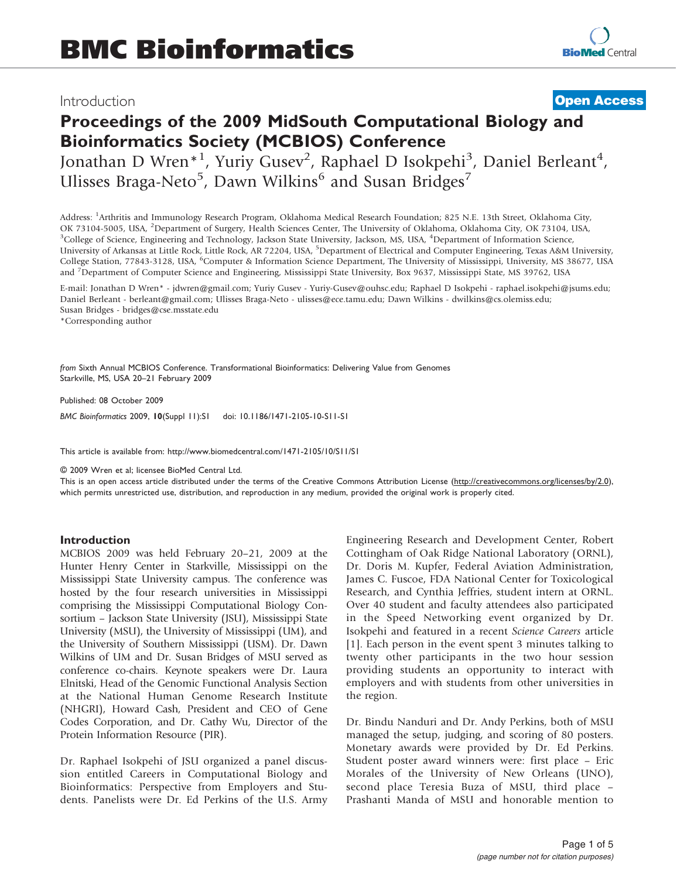### Introduction

## **[Open Access](http://www.biomedcentral.com/info/about/charter/)**

# Proceedings of the 2009 MidSouth Computational Biology and Bioinformatics Society (MCBIOS) Conference Jonathan D Wren\*<sup>1</sup>, Yuriy Gusev<sup>2</sup>, Raphael D Isokpehi<sup>3</sup>, Daniel Berleant<sup>4</sup>,

Ulisses Braga-Neto<sup>5</sup>, Dawn Wilkins<sup>6</sup> and Susan Bridges<sup>7</sup>

Address: <sup>1</sup>Arthritis and Immunology Research Program, Oklahoma Medical Research Foundation; 825 N.E. 13th Street, Oklahoma City, OK 73104-5005, USA, <sup>2</sup>Department of Surgery, Health Sciences Center, The University of Oklahoma, Oklahoma City, OK 73104, USA, 3<br><sup>3</sup>College of Science, Engineering and Technology, Jackson State University, Jackson, MS, US College of Science, Engineering and Technology, Jackson State University, Jackson, MS, USA, <sup>4</sup> Department of Information Science, University of Arkansas at Little Rock, Little Rock, AR 72204, USA, <sup>5</sup>Department of Electrical and Computer Engineering, Texas A&M University, College Station, 77843-3128, USA, <sup>6</sup>Computer & Information Science Department, The University of Mississippi, University, MS 38677, USA and <sup>7</sup>Department of Computer Science and Engineering, Mississippi State University, Box 9637, Mississippi State, MS 39762, USA

E-mail: Jonathan D Wren\* - [jdwren@gmail.com;](mailto:jdwren@gmail.com) Yuriy Gusev - [Yuriy-Gusev@ouhsc.edu](mailto:Yuriy-Gusev@ouhsc.edu); Raphael D Isokpehi - [raphael.isokpehi@jsums.edu](mailto:raphael.isokpehi@jsums.edu); Daniel Berleant - [berleant@gmail.com;](mailto:berleant@gmail.com) Ulisses Braga-Neto - [ulisses@ece.tamu.edu;](mailto:ulisses@ece.tamu.edu) Dawn Wilkins - [dwilkins@cs.olemiss.edu](mailto:dwilkins@cs.olemiss.edu); Susan Bridges - [bridges@cse.msstate.edu](mailto:bridges@cse.msstate.edu)

\*Corresponding author

from Sixth Annual MCBIOS Conference. Transformational Bioinformatics: Delivering Value from Genomes Starkville, MS, USA 20–21 February 2009

Published: 08 October 2009 BMC Bioinformatics 2009, 10(Suppl 11):S1 doi: 10.1186/1471-2105-10-S11-S1

This article is available from: http://www.biomedcentral.com/1471-2105/10/S11/S1

© 2009 Wren et al; licensee BioMed Central Ltd.

This is an open access article distributed under the terms of the Creative Commons Attribution License [\(http://creativecommons.org/licenses/by/2.0\)](http://creativecommons.org/licenses/by/2.0), which permits unrestricted use, distribution, and reproduction in any medium, provided the original work is properly cited.

#### Introduction

MCBIOS 2009 was held February 20–21, 2009 at the Hunter Henry Center in Starkville, Mississippi on the Mississippi State University campus. The conference was hosted by the four research universities in Mississippi comprising the Mississippi Computational Biology Consortium – Jackson State University (JSU), Mississippi State University (MSU), the University of Mississippi (UM), and the University of Southern Mississippi (USM). Dr. Dawn Wilkins of UM and Dr. Susan Bridges of MSU served as conference co-chairs. Keynote speakers were Dr. Laura Elnitski, Head of the Genomic Functional Analysis Section at the National Human Genome Research Institute (NHGRI), Howard Cash, President and CEO of Gene Codes Corporation, and Dr. Cathy Wu, Director of the Protein Information Resource (PIR).

Dr. Raphael Isokpehi of JSU organized a panel discussion entitled Careers in Computational Biology and Bioinformatics: Perspective from Employers and Students. Panelists were Dr. Ed Perkins of the U.S. Army Engineering Research and Development Center, Robert Cottingham of Oak Ridge National Laboratory (ORNL), Dr. Doris M. Kupfer, Federal Aviation Administration, James C. Fuscoe, FDA National Center for Toxicological Research, and Cynthia Jeffries, student intern at ORNL. Over 40 student and faculty attendees also participated in the Speed Networking event organized by Dr. Isokpehi and featured in a recent Science Careers article [[1](#page-2-0)]. Each person in the event spent 3 minutes talking to twenty other participants in the two hour session providing students an opportunity to interact with employers and with students from other universities in the region.

Dr. Bindu Nanduri and Dr. Andy Perkins, both of MSU managed the setup, judging, and scoring of 80 posters. Monetary awards were provided by Dr. Ed Perkins. Student poster award winners were: first place – Eric Morales of the University of New Orleans (UNO), second place Teresia Buza of MSU, third place – Prashanti Manda of MSU and honorable mention to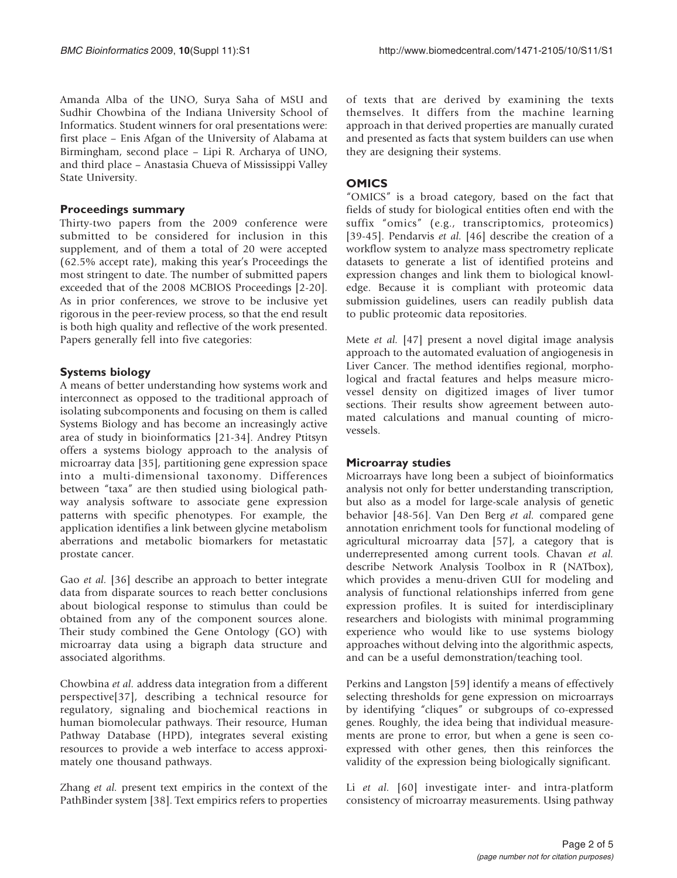Amanda Alba of the UNO, Surya Saha of MSU and Sudhir Chowbina of the Indiana University School of Informatics. Student winners for oral presentations were: first place – Enis Afgan of the University of Alabama at Birmingham, second place – Lipi R. Archarya of UNO, and third place – Anastasia Chueva of Mississippi Valley State University.

#### Proceedings summary

Thirty-two papers from the 2009 conference were submitted to be considered for inclusion in this supplement, and of them a total of 20 were accepted (62.5% accept rate), making this year's Proceedings the most stringent to date. The number of submitted papers exceeded that of the 2008 MCBIOS Proceedings [[2](#page-2-0)[-20](#page-3-0)]. As in prior conferences, we strove to be inclusive yet rigorous in the peer-review process, so that the end result is both high quality and reflective of the work presented. Papers generally fell into five categories:

#### Systems biology

A means of better understanding how systems work and interconnect as opposed to the traditional approach of isolating subcomponents and focusing on them is called Systems Biology and has become an increasingly active area of study in bioinformatics [\[21-34](#page-3-0)]. Andrey Ptitsyn offers a systems biology approach to the analysis of microarray data [[35\]](#page-3-0), partitioning gene expression space into a multi-dimensional taxonomy. Differences between "taxa" are then studied using biological pathway analysis software to associate gene expression patterns with specific phenotypes. For example, the application identifies a link between glycine metabolism aberrations and metabolic biomarkers for metastatic prostate cancer.

Gao et al. [\[36](#page-3-0)] describe an approach to better integrate data from disparate sources to reach better conclusions about biological response to stimulus than could be obtained from any of the component sources alone. Their study combined the Gene Ontology (GO) with microarray data using a bigraph data structure and associated algorithms.

Chowbina et al. address data integration from a different perspective[[37\]](#page-3-0), describing a technical resource for regulatory, signaling and biochemical reactions in human biomolecular pathways. Their resource, Human Pathway Database (HPD), integrates several existing resources to provide a web interface to access approximately one thousand pathways.

Zhang et al. present text empirics in the context of the PathBinder system [[38](#page-3-0)]. Text empirics refers to properties of texts that are derived by examining the texts themselves. It differs from the machine learning approach in that derived properties are manually curated and presented as facts that system builders can use when they are designing their systems.

#### **OMICS**

"OMICS" is a broad category, based on the fact that fields of study for biological entities often end with the suffix "omics" (e.g., transcriptomics, proteomics) [[39](#page-3-0)-[45\]](#page-3-0). Pendarvis et al. [[46](#page-3-0)] describe the creation of a workflow system to analyze mass spectrometry replicate datasets to generate a list of identified proteins and expression changes and link them to biological knowledge. Because it is compliant with proteomic data submission guidelines, users can readily publish data to public proteomic data repositories.

Mete et al. [[47\]](#page-3-0) present a novel digital image analysis approach to the automated evaluation of angiogenesis in Liver Cancer. The method identifies regional, morphological and fractal features and helps measure microvessel density on digitized images of liver tumor sections. Their results show agreement between automated calculations and manual counting of microvessels.

#### Microarray studies

Microarrays have long been a subject of bioinformatics analysis not only for better understanding transcription, but also as a model for large-scale analysis of genetic behavior [[48-56\]](#page-3-0). Van Den Berg et al. compared gene annotation enrichment tools for functional modeling of agricultural microarray data [\[57](#page-3-0)], a category that is underrepresented among current tools. Chavan et al. describe Network Analysis Toolbox in R (NATbox), which provides a menu-driven GUI for modeling and analysis of functional relationships inferred from gene expression profiles. It is suited for interdisciplinary researchers and biologists with minimal programming experience who would like to use systems biology approaches without delving into the algorithmic aspects, and can be a useful demonstration/teaching tool.

Perkins and Langston [\[59](#page-4-0)] identify a means of effectively selecting thresholds for gene expression on microarrays by identifying "cliques" or subgroups of co-expressed genes. Roughly, the idea being that individual measurements are prone to error, but when a gene is seen coexpressed with other genes, then this reinforces the validity of the expression being biologically significant.

Li et al. [[60](#page-4-0)] investigate inter- and intra-platform consistency of microarray measurements. Using pathway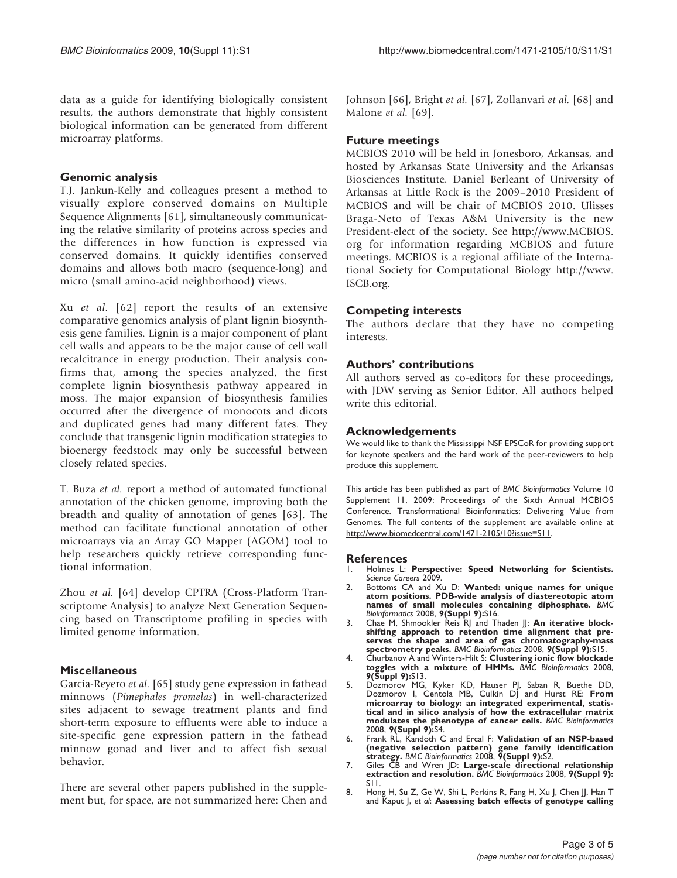<span id="page-2-0"></span>data as a guide for identifying biologically consistent results, the authors demonstrate that highly consistent biological information can be generated from different microarray platforms.

#### Genomic analysis

T.J. Jankun-Kelly and colleagues present a method to visually explore conserved domains on Multiple Sequence Alignments [\[61](#page-4-0)], simultaneously communicating the relative similarity of proteins across species and the differences in how function is expressed via conserved domains. It quickly identifies conserved domains and allows both macro (sequence-long) and micro (small amino-acid neighborhood) views.

Xu et al. [[62\]](#page-4-0) report the results of an extensive comparative genomics analysis of plant lignin biosynthesis gene families. Lignin is a major component of plant cell walls and appears to be the major cause of cell wall recalcitrance in energy production. Their analysis confirms that, among the species analyzed, the first complete lignin biosynthesis pathway appeared in moss. The major expansion of biosynthesis families occurred after the divergence of monocots and dicots and duplicated genes had many different fates. They conclude that transgenic lignin modification strategies to bioenergy feedstock may only be successful between closely related species.

T. Buza et al. report a method of automated functional annotation of the chicken genome, improving both the breadth and quality of annotation of genes [[63](#page-4-0)]. The method can facilitate functional annotation of other microarrays via an Array GO Mapper (AGOM) tool to help researchers quickly retrieve corresponding functional information.

Zhou et al. [\[64](#page-4-0)] develop CPTRA (Cross-Platform Transcriptome Analysis) to analyze Next Generation Sequencing based on Transcriptome profiling in species with limited genome information.

#### Miscellaneous

Garcia-Reyero et al. [[65](#page-4-0)] study gene expression in fathead minnows (Pimephales promelas) in well-characterized sites adjacent to sewage treatment plants and find short-term exposure to effluents were able to induce a site-specific gene expression pattern in the fathead minnow gonad and liver and to affect fish sexual behavior.

There are several other papers published in the supplement but, for space, are not summarized here: Chen and Johnson [[66\]](#page-4-0), Bright et al. [[67\]](#page-4-0), Zollanvari et al. [[68\]](#page-4-0) and Malone *et al.* [[69\]](#page-4-0).

#### Future meetings

MCBIOS 2010 will be held in Jonesboro, Arkansas, and hosted by Arkansas State University and the Arkansas Biosciences Institute. Daniel Berleant of University of Arkansas at Little Rock is the 2009–2010 President of MCBIOS and will be chair of MCBIOS 2010. Ulisses Braga-Neto of Texas A&M University is the new President-elect of the society. See [http://www.MCBIOS.](http://www.MCBIOS.org) [org](http://www.MCBIOS.org) for information regarding MCBIOS and future meetings. MCBIOS is a regional affiliate of the International Society for Computational Biology [http://www.](http://www.ISCB.org) [ISCB.org](http://www.ISCB.org).

#### Competing interests

The authors declare that they have no competing interests.

#### Authors' contributions

All authors served as co-editors for these proceedings, with JDW serving as Senior Editor. All authors helped write this editorial.

#### Acknowledgements

We would like to thank the Mississippi NSF EPSCoR for providing support for keynote speakers and the hard work of the peer-reviewers to help produce this supplement.

This article has been published as part of BMC Bioinformatics Volume 10 Supplement 11, 2009: Proceedings of the Sixth Annual MCBIOS Conference. Transformational Bioinformatics: Delivering Value from Genomes. The full contents of the supplement are available online at <http://www.biomedcentral.com/1471-2105/10?issue=S11>.

## References

- Holmes L: Perspective: Speed Networking for Scientists. Science Careers 2009.
- 2. Bottoms CA and Xu D: [Wanted: unique names for unique](http://www.ncbi.nlm.nih.gov/pubmed/18793461?dopt=Abstract) [atom positions. PDB-wide analysis of diastereotopic atom](http://www.ncbi.nlm.nih.gov/pubmed/18793461?dopt=Abstract) [names of small molecules containing diphosphate.](http://www.ncbi.nlm.nih.gov/pubmed/18793461?dopt=Abstract) BMC Bioinformatics 2008, 9(Suppl 9):S16.
- 3. Chae M, Shmookler Reis RJ and Thaden JJ: [An iterative block-](http://www.ncbi.nlm.nih.gov/pubmed/18793460?dopt=Abstract)[shifting approach to retention time alignment that pre](http://www.ncbi.nlm.nih.gov/pubmed/18793460?dopt=Abstract)[serves the shape and area of gas chromatography-mass](http://www.ncbi.nlm.nih.gov/pubmed/18793460?dopt=Abstract) [spectrometry peaks.](http://www.ncbi.nlm.nih.gov/pubmed/18793460?dopt=Abstract) BMC Bioinformatics 2008, 9(Suppl 9):S15.
- 4. Churbanov A and Winters-Hilt S: [Clustering ionic flow blockade](http://www.ncbi.nlm.nih.gov/pubmed/18793458?dopt=Abstract) [toggles with a mixture of HMMs.](http://www.ncbi.nlm.nih.gov/pubmed/18793458?dopt=Abstract) BMC Bioinformatics 2008, 9(Suppl 9):S13.
- 5. Dozmorov MG, Kyker KD, Hauser PJ, Saban R, Buethe DD, Dozmorov I, Centola MB, Culkin DJ and Hurst RE: [From](http://www.ncbi.nlm.nih.gov/pubmed/18793468?dopt=Abstract) [microarray to biology: an integrated experimental, statis](http://www.ncbi.nlm.nih.gov/pubmed/18793468?dopt=Abstract)[tical and in silico analysis of how the extracellular matrix](http://www.ncbi.nlm.nih.gov/pubmed/18793468?dopt=Abstract) [modulates the phenotype of cancer cells.](http://www.ncbi.nlm.nih.gov/pubmed/18793468?dopt=Abstract) BMC Bioinformatics 2008, 9(Suppl 9):S4.
- 6. Frank RL, Kandoth C and Ercal F: [Validation of an NSP-based](http://www.ncbi.nlm.nih.gov/pubmed/18793465?dopt=Abstract) [\(negative selection pattern\) gene family identification](http://www.ncbi.nlm.nih.gov/pubmed/18793465?dopt=Abstract) [strategy.](http://www.ncbi.nlm.nih.gov/pubmed/18793465?dopt=Abstract) BMC Bioinformatics 2008, 9(Suppl 9):S2.
- 7. Giles CB and Wren JD: [Large-scale directional relationship](http://www.ncbi.nlm.nih.gov/pubmed/18793456?dopt=Abstract) [extraction and resolution.](http://www.ncbi.nlm.nih.gov/pubmed/18793456?dopt=Abstract) BMC Bioinformatics 2008, 9(Suppl 9): S11.
- 8. Hong H, Su Z, Ge W, Shi L, Perkins R, Fang H, Xu J, Chen JJ, Han T and Kaput J, et al: [Assessing batch effects of genotype calling](http://www.ncbi.nlm.nih.gov/pubmed/18793462?dopt=Abstract)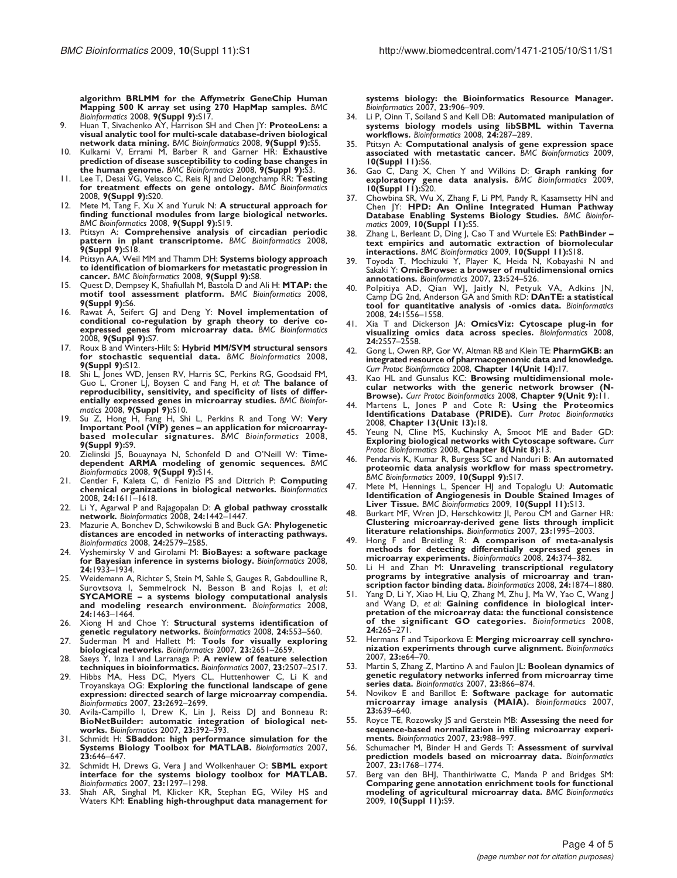<span id="page-3-0"></span>[algorithm BRLMM for the Affymetrix GeneChip Human](http://www.ncbi.nlm.nih.gov/pubmed/18793462?dopt=Abstract) [Mapping 500 K array set using 270 HapMap samples.](http://www.ncbi.nlm.nih.gov/pubmed/18793462?dopt=Abstract) BMC Bioinformatics 2008, 9(Suppl 9):S17.

- 9. Huan T, Sivachenko AY, Harrison SH and Chen JY: [ProteoLens: a](http://www.ncbi.nlm.nih.gov/pubmed/18793469?dopt=Abstract) [visual analytic tool for multi-scale database-driven biological](http://www.ncbi.nlm.nih.gov/pubmed/18793469?dopt=Abstract) [network data mining.](http://www.ncbi.nlm.nih.gov/pubmed/18793469?dopt=Abstract) BMC Bioinformatics 2008, 9(Suppl 9):S5.
- 10. Kulkarni V, Errami M, Barber R and Garner HR: [Exhaustive](http://www.ncbi.nlm.nih.gov/pubmed/18793467?dopt=Abstract) [prediction of disease susceptibility to coding base changes in](http://www.ncbi.nlm.nih.gov/pubmed/18793467?dopt=Abstract) [the human genome.](http://www.ncbi.nlm.nih.gov/pubmed/18793467?dopt=Abstract) BMC Bioinformatics 2008, 9(Suppl 9):S3.
- 11. Lee T, Desai VG, Velasco C, Reis RJ and Delongchamp RR: [Testing](http://www.ncbi.nlm.nih.gov/pubmed/18793466?dopt=Abstract)<br>[for treatment effects on gene ontology.](http://www.ncbi.nlm.nih.gov/pubmed/18793466?dopt=Abstract) BMC Bioinformatics 2008, 9(Suppl 9):S20.
- 12. Mete M, Tang F, Xu X and Yuruk N: [A structural approach for](http://www.ncbi.nlm.nih.gov/pubmed/18793464?dopt=Abstract) [finding functional modules from large biological networks.](http://www.ncbi.nlm.nih.gov/pubmed/18793464?dopt=Abstract) BMC Bioinformatics 2008, 9(Suppl 9):S19.
- 13. Ptitsyn A: [Comprehensive analysis of circadian periodic](http://www.ncbi.nlm.nih.gov/pubmed/18793463?dopt=Abstract)<br>[pattern in plant transcriptome.](http://www.ncbi.nlm.nih.gov/pubmed/18793463?dopt=Abstract) BMC Bioinformatics 2008, 9(Suppl 9):S18.
- 14. Ptitsyn AA, Weil MM and Thamm DH: [Systems biology approach](http://www.ncbi.nlm.nih.gov/pubmed/18793472?dopt=Abstract) [to identification of biomarkers for metastatic progression in](http://www.ncbi.nlm.nih.gov/pubmed/18793472?dopt=Abstract) [cancer.](http://www.ncbi.nlm.nih.gov/pubmed/18793472?dopt=Abstract) BMC Bioinformatics 2008, 9(Suppl 9):S8.
- 15. Quest D, Dempsey K, Shafiullah M, Bastola D and Ali H: [MTAP: the](http://www.ncbi.nlm.nih.gov/pubmed/18793470?dopt=Abstract) [motif tool assessment platform.](http://www.ncbi.nlm.nih.gov/pubmed/18793470?dopt=Abstract) BMC Bioinformatics 2008, 9(Suppl 9):S6.
- 16. Rawat A, Seifert GJ and Deng Y: [Novel implementation of](http://www.ncbi.nlm.nih.gov/pubmed/18793471?dopt=Abstract) [conditional co-regulation by graph theory to derive co-](http://www.ncbi.nlm.nih.gov/pubmed/18793471?dopt=Abstract)[expressed genes from microarray data.](http://www.ncbi.nlm.nih.gov/pubmed/18793471?dopt=Abstract) BMC Bioinformatics 2008, 9(Suppl 9):S7.
- Roux B and Winters-Hilt S: [Hybrid MM/SVM structural sensors](http://www.ncbi.nlm.nih.gov/pubmed/18793457?dopt=Abstract) [for stochastic sequential data.](http://www.ncbi.nlm.nih.gov/pubmed/18793457?dopt=Abstract) BMC Bioinformatics 2008, 9(Suppl 9):S12.
- 18. Shi L, Jones WD, Jensen RV, Harris SC, Perkins RG, Goodsaid FM, Guo L, Croner LJ, Boysen C and Fang H, et al: [The balance of](http://www.ncbi.nlm.nih.gov/pubmed/18793455?dopt=Abstract) [reproducibility, sensitivity, and specificity of lists of differ](http://www.ncbi.nlm.nih.gov/pubmed/18793455?dopt=Abstract)[entially expressed genes in microarray studies.](http://www.ncbi.nlm.nih.gov/pubmed/18793455?dopt=Abstract) BMC Bioinformatics 2008, 9(Suppl 9):S10.
- 19. Su Z, Hong H, Fang H, Shi L, Perkins R and Tong W: [Very](http://www.ncbi.nlm.nih.gov/pubmed/18793473?dopt=Abstract) Important Pool (VIP) genes – [an application for microarray-](http://www.ncbi.nlm.nih.gov/pubmed/18793473?dopt=Abstract)[based molecular signatures.](http://www.ncbi.nlm.nih.gov/pubmed/18793473?dopt=Abstract) BMC Bioinformatics 2008, 9(Suppl 9):S9.
- 20. Zielinski JS, Bouaynaya N, Schonfeld D and O'Neill W: [Time](http://www.ncbi.nlm.nih.gov/pubmed/18793459?dopt=Abstract)[dependent ARMA modeling of genomic sequences.](http://www.ncbi.nlm.nih.gov/pubmed/18793459?dopt=Abstract) BMC<br>Bioinformatics 2008, 9(Suppl 9):S14.
- 21. Centler F, Kaleta C, di Fenizio PS and Dittrich P: [Computing](http://www.ncbi.nlm.nih.gov/pubmed/18480100?dopt=Abstract) [chemical organizations in biological networks.](http://www.ncbi.nlm.nih.gov/pubmed/18480100?dopt=Abstract) Bioinformatics<br>2008, 24:1611–1618.
- 22. Li Y, Agarwal P and Rajagopalan D: [A global pathway crosstalk](http://www.ncbi.nlm.nih.gov/pubmed/18434343?dopt=Abstract) [network.](http://www.ncbi.nlm.nih.gov/pubmed/18434343?dopt=Abstract) Bioinformatics 2008, 24:1442–1447.
- 23. Mazurie A, Bonchev D, Schwikowski B and Buck GA: [Phylogenetic](http://www.ncbi.nlm.nih.gov/pubmed/18820265?dopt=Abstract) [distances are encoded in networks of interacting pathways.](http://www.ncbi.nlm.nih.gov/pubmed/18820265?dopt=Abstract) Bioinformatics 2008, 24:2579–2585.
- Vyshemirsky V and Girolami M: [BioBayes: a software package](http://www.ncbi.nlm.nih.gov/pubmed/18632751?dopt=Abstract) [for Bayesian inference in systems biology.](http://www.ncbi.nlm.nih.gov/pubmed/18632751?dopt=Abstract) Bioinformatics 2008, 24:1933–1934.
- **2020 Weidemann A, Richter S, Stein M, Sahle S, Gauges R, Gabdoulline R, Surovtsova I, Semmelrock N, Besson B and Rojas I, et al.** SYCAMORE – [a systems biology computational analysis](http://www.ncbi.nlm.nih.gov/pubmed/18463116?dopt=Abstract) [and modeling research environment.](http://www.ncbi.nlm.nih.gov/pubmed/18463116?dopt=Abstract) Bioinformatics 2008, 24:1463–1464.
- 26. Xiong H and Choe Y: [Structural systems identification of](http://www.ncbi.nlm.nih.gov/pubmed/18175769?dopt=Abstract) [genetic regulatory networks.](http://www.ncbi.nlm.nih.gov/pubmed/18175769?dopt=Abstract) Bioinformatics 2008, 24:553-560.
- 27. Suderman M and Hallett M: [Tools for visually exploring](http://www.ncbi.nlm.nih.gov/pubmed/17720984?dopt=Abstract) [biological networks.](http://www.ncbi.nlm.nih.gov/pubmed/17720984?dopt=Abstract) Bioinformatics 2007, 23:2651–2659.
- 28. Saeys Y, Inza I and Larranaga P: [A review of feature selection](http://www.ncbi.nlm.nih.gov/pubmed/17720704?dopt=Abstract) [techniques in bioinformatics.](http://www.ncbi.nlm.nih.gov/pubmed/17720704?dopt=Abstract) Bioinformatics 2007, 23:2507–2517.
- 29. Hibbs MA, Hess DC, Myers CL, Huttenhower C, Li K and Troyanskaya OG: [Exploring the functional landscape of gene](http://www.ncbi.nlm.nih.gov/pubmed/17724061?dopt=Abstract) [expression: directed search of large microarray compendia.](http://www.ncbi.nlm.nih.gov/pubmed/17724061?dopt=Abstract) Bioinformatics 2007, 23:2692–2699.
- 30. Avila-Campillo I, Drew K, Lin J, Reiss DJ and Bonneau R: [BioNetBuilder: automatic integration of biological net-](http://www.ncbi.nlm.nih.gov/pubmed/17138585?dopt=Abstract)[works.](http://www.ncbi.nlm.nih.gov/pubmed/17138585?dopt=Abstract) Bioinformatics 2007, 23:392–393.
- 31. Schmidt H: [SBaddon: high performance simulation for the](http://www.ncbi.nlm.nih.gov/pubmed/17237071?dopt=Abstract) [Systems Biology Toolbox for MATLAB.](http://www.ncbi.nlm.nih.gov/pubmed/17237071?dopt=Abstract) Bioinformatics 2007, 23:646–647.
- 32. Schmidt H, Drews G, Vera J and Wolkenhauer O: [SBML export](http://www.ncbi.nlm.nih.gov/pubmed/17384017?dopt=Abstract) [interface for the systems biology toolbox for MATLAB.](http://www.ncbi.nlm.nih.gov/pubmed/17384017?dopt=Abstract) Bioinformatics 2007, 23:1297–1298.
- Shah AR, Singhal M, Klicker KR, Stephan EG, Wiley HS and Waters KM: [Enabling high-throughput data management for](http://www.ncbi.nlm.nih.gov/pubmed/17324940?dopt=Abstract)

[systems biology: the Bioinformatics Resource Manager.](http://www.ncbi.nlm.nih.gov/pubmed/17324940?dopt=Abstract) Bioinformatics 2007, 23:906-909.

- 34. Li P, Oinn T, Soiland S and Kell DB: [Automated manipulation of](http://www.ncbi.nlm.nih.gov/pubmed/18056069?dopt=Abstract) [systems biology models using libSBML within Taverna](http://www.ncbi.nlm.nih.gov/pubmed/18056069?dopt=Abstract) [workflows.](http://www.ncbi.nlm.nih.gov/pubmed/18056069?dopt=Abstract) Bioinformatics 2008, 24:287–289.
- 35. Ptitsyn A: Computational analysis of gene expression space associated with metastatic cancer. BMC Bioinformatics 2009, 10(Suppl 11):S6.
- 36. Gao C, Dang X, Chen Y and Wilkins D: Graph ranking for exploratory gene data analysis. BMC Bioinformatics 2009,  $10(Suppl 11):520$ .
- 37. Chowbina SR, Wu X, Zhang F, Li PM, Pandy R, Kasamsetty HN and Chen JY: HPD: An Online Integrated Human Pathway Database Enabling Systems Biology Studies. BMC Bioinformatics 2009, 10(Suppl 11):S5.
- 38. Zhang L, Berleant D, Ding J, Cao T and Wurtele ES: PathBinder text empirics and automatic extraction of biomolecular interactions. BMC Bioinformatics 2009, 10(Suppl 11):S18.
- 39. Toyoda T, Mochizuki Y, Player K, Heida N, Kobayashi N and<br>Sakaki Y: **[OmicBrowse: a browser of multidimensional omics](http://www.ncbi.nlm.nih.gov/pubmed/17077097?dopt=Abstract)** [annotations.](http://www.ncbi.nlm.nih.gov/pubmed/17077097?dopt=Abstract) Bioinformatics 2007, 23:524–526.
- 40. Polpitiya AD, Qian WJ, Jaitly N, Petyuk VA, Adkins JN, Camp DG 2nd, Anderson GA and Smith RD: [DAnTE: a statistical](http://www.ncbi.nlm.nih.gov/pubmed/18453552?dopt=Abstract) [tool for quantitative analysis of -omics data.](http://www.ncbi.nlm.nih.gov/pubmed/18453552?dopt=Abstract) Bioinformatics 2008, 24:1556–1558.
- 41. Xia T and Dickerson JA: [OmicsViz: Cytoscape plug-in for](http://www.ncbi.nlm.nih.gov/pubmed/18779234?dopt=Abstract) [visualizing omics data across species.](http://www.ncbi.nlm.nih.gov/pubmed/18779234?dopt=Abstract) Bioinformatics 2008, 24:2557–2558.
- 42. Gong L, Owen RP, Gor W, Altman RB and Klein TE: PharmGKB: an integrated resource of pharmacogenomic data and knowledge. Curr Protoc Bioinformatics 2008, Chapter 14(Unit 14):17.
- 43. Kao HL and Gunsalus KC: [Browsing multidimensional mole](http://www.ncbi.nlm.nih.gov/pubmed/18819079?dopt=Abstract)[cular networks with the generic network browser \(N-](http://www.ncbi.nlm.nih.gov/pubmed/18819079?dopt=Abstract)[Browse\).](http://www.ncbi.nlm.nih.gov/pubmed/18819079?dopt=Abstract) Curr Protoc Bioinformatics 2008, Chapter 9(Unit 9):11.
- Martens L, Jones P and Cote R: Using the Proteomics Identifications Database (PRIDE). Curr Protoc Bioinformatics 2008, Chapter 13(Unit 13):18.
- 45. Yeung N, Cline MS, Kuchinsky A, Smoot ME and Bader GD: [Exploring biological networks with Cytoscape software.](http://www.ncbi.nlm.nih.gov/pubmed/18819078?dopt=Abstract) Curr Protoc Bioinformatics 2008, Chapter 8(Unit 8):13.
- 46. Pendarvis K, Kumar R, Burgess SC and Nanduri B: An automated proteomic data analysis workflow for mass spectrometry. BMC Bioinformatics 2009, 10(Suppl 9):S17.
- 47. Mete M, Hennings L, Spencer HJ and Topaloglu U: Automatic Identification of Angiogenesis in Double Stained Images of Liver Tissue. BMC Bioinformatics 2009, 10(Suppl 11):S13.
- 48. Burkart MF, Wren JD, Herschkowitz JI, Perou CM and Garner HR: [Clustering microarray-derived gene lists through implicit](http://www.ncbi.nlm.nih.gov/pubmed/17537751?dopt=Abstract) [literature relationships.](http://www.ncbi.nlm.nih.gov/pubmed/17537751?dopt=Abstract) Bioinformatics 2007, 23:1995–2003.
- 49. Hong F and Breitling R: [A comparison of meta-analysis](http://www.ncbi.nlm.nih.gov/pubmed/18204063?dopt=Abstract) [methods for detecting differentially expressed genes in](http://www.ncbi.nlm.nih.gov/pubmed/18204063?dopt=Abstract) [microarray experiments.](http://www.ncbi.nlm.nih.gov/pubmed/18204063?dopt=Abstract) Bioinformatics 2008, 24:374–382.
- 50. Li H and Zhan M: [Unraveling transcriptional regulatory](http://www.ncbi.nlm.nih.gov/pubmed/18586698?dopt=Abstract) [programs by integrative analysis of microarray and tran](http://www.ncbi.nlm.nih.gov/pubmed/18586698?dopt=Abstract)[scription factor binding data.](http://www.ncbi.nlm.nih.gov/pubmed/18586698?dopt=Abstract) Bioinformatics 2008, 24:1874–1880.
- 51. Yang D, Li Y, Xiao H, Liu Q, Zhang M, Zhu J, Ma W, Yao C, Wang J<br>and Wang D, et *a*l: **Gaining confidence in biological inter** [pretation of the microarray data: the functional consistence](http://www.ncbi.nlm.nih.gov/pubmed/18006543?dopt=Abstract) [of the significant GO categories.](http://www.ncbi.nlm.nih.gov/pubmed/18006543?dopt=Abstract) Bioinformatics 2008, 24:265–271.
- Hermans F and Tsiporkova E: [Merging microarray cell synchro](http://www.ncbi.nlm.nih.gov/pubmed/17237107?dopt=Abstract)[nization experiments through curve alignment.](http://www.ncbi.nlm.nih.gov/pubmed/17237107?dopt=Abstract) Bioinformatics 2007, 23:e64–70.
- Martin S, Zhang Z, Martino A and Faulon JL: [Boolean dynamics of](http://www.ncbi.nlm.nih.gov/pubmed/17267426?dopt=Abstract) [genetic regulatory networks inferred from microarray time](http://www.ncbi.nlm.nih.gov/pubmed/17267426?dopt=Abstract) [series data.](http://www.ncbi.nlm.nih.gov/pubmed/17267426?dopt=Abstract) Bioinformatics 2007, 23:866–874.
- 54. Novikov E and Barillot E: [Software package for automatic](http://www.ncbi.nlm.nih.gov/pubmed/17237062?dopt=Abstract)<br>[microarray image analysis \(MAIA\).](http://www.ncbi.nlm.nih.gov/pubmed/17237062?dopt=Abstract) Bioinformatics 2007. 23:639–640.
- 55. Royce TE, Rozowsky JS and Gerstein MB: [Assessing the need for](http://www.ncbi.nlm.nih.gov/pubmed/17387113?dopt=Abstract) [sequence-based normalization in tiling microarray experi](http://www.ncbi.nlm.nih.gov/pubmed/17387113?dopt=Abstract)[ments.](http://www.ncbi.nlm.nih.gov/pubmed/17387113?dopt=Abstract) Bioinformatics 2007, 23:988–997.
- 56. Schumacher M, Binder H and Gerds T: [Assessment of survival](http://www.ncbi.nlm.nih.gov/pubmed/17485430?dopt=Abstract) [prediction models based on microarray data.](http://www.ncbi.nlm.nih.gov/pubmed/17485430?dopt=Abstract) Bioinformatics 2007, 23:1768–1774.
- Berg van den BHJ, Thanthiriwatte C, Manda P and Bridges SM: Comparing gene annotation enrichment tools for functional modeling of agricultural microarray data. BMC Bioinformatics 2009, 10(Suppl 11):S9.